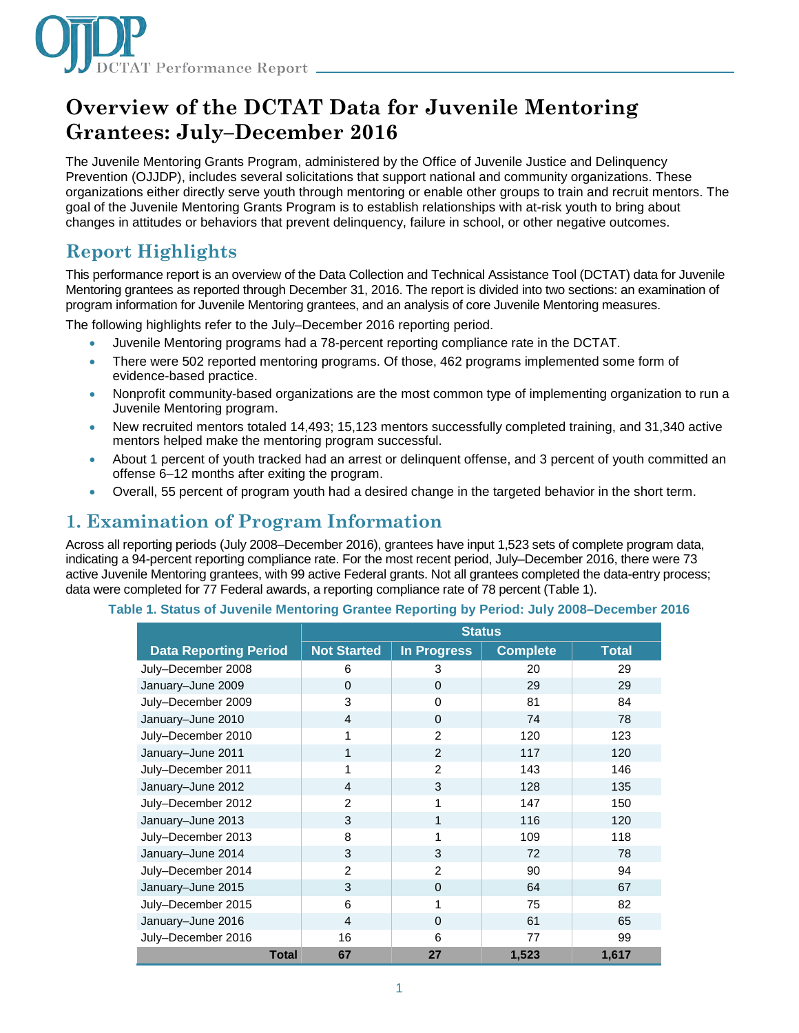

# **Overview of the DCTAT Data for Juvenile Mentoring Grantees: July–December 2016**

The Juvenile Mentoring Grants Program, administered by the Office of Juvenile Justice and Delinquency Prevention (OJJDP), includes several solicitations that support national and community organizations. These organizations either directly serve youth through mentoring or enable other groups to train and recruit mentors. The goal of the Juvenile Mentoring Grants Program is to establish relationships with at-risk youth to bring about changes in attitudes or behaviors that prevent delinquency, failure in school, or other negative outcomes.

# **Report Highlights**

This performance report is an overview of the Data Collection and Technical Assistance Tool (DCTAT) data for Juvenile Mentoring grantees as reported through December 31, 2016. The report is divided into two sections: an examination of program information for Juvenile Mentoring grantees, and an analysis of core Juvenile Mentoring measures.

The following highlights refer to the July–December 2016 reporting period.

- Juvenile Mentoring programs had a 78-percent reporting compliance rate in the DCTAT.
- There were 502 reported mentoring programs. Of those, 462 programs implemented some form of evidence-based practice.
- Nonprofit community-based organizations are the most common type of implementing organization to run a Juvenile Mentoring program.
- New recruited mentors totaled 14,493; 15,123 mentors successfully completed training, and 31,340 active mentors helped make the mentoring program successful.
- About 1 percent of youth tracked had an arrest or delinquent offense, and 3 percent of youth committed an offense 6–12 months after exiting the program.
- Overall, 55 percent of program youth had a desired change in the targeted behavior in the short term.

### **1. Examination of Program Information**

Across all reporting periods (July 2008–December 2016), grantees have input 1,523 sets of complete program data, indicating a 94-percent reporting compliance rate. For the most recent period, July–December 2016, there were 73 active Juvenile Mentoring grantees, with 99 active Federal grants. Not all grantees completed the data-entry process; data were completed for 77 Federal awards, a reporting compliance rate of 78 percent (Table 1).

#### **Table 1. Status of Juvenile Mentoring Grantee Reporting by Period: July 2008–December 2016**

|                              |              | <b>Status</b>      |                    |                 |              |
|------------------------------|--------------|--------------------|--------------------|-----------------|--------------|
| <b>Data Reporting Period</b> |              | <b>Not Started</b> | <b>In Progress</b> | <b>Complete</b> | <b>Total</b> |
| July-December 2008           |              | 6                  | 3                  | 20              | 29           |
| January-June 2009            |              | $\Omega$           | $\Omega$           | 29              | 29           |
| July-December 2009           |              | 3                  | 0                  | 81              | 84           |
| January-June 2010            |              | $\overline{4}$     | $\Omega$           | 74              | 78           |
| July-December 2010           |              | 1                  | $\mathfrak{p}$     | 120             | 123          |
| January-June 2011            |              | 1                  | $\mathcal{P}$      | 117             | 120          |
| July-December 2011           |              | 1                  | $\mathfrak{p}$     | 143             | 146          |
| January-June 2012            |              | $\overline{4}$     | 3                  | 128             | 135          |
| July-December 2012           |              | $\overline{2}$     | 1                  | 147             | 150          |
| January-June 2013            |              | 3                  | 1                  | 116             | 120          |
| July-December 2013           |              | 8                  |                    | 109             | 118          |
| January-June 2014            |              | 3                  | 3                  | 72              | 78           |
| July-December 2014           |              | $\overline{2}$     | $\mathfrak{p}$     | 90              | 94           |
| January-June 2015            |              | 3                  | $\Omega$           | 64              | 67           |
| July-December 2015           |              | 6                  | $\mathbf{1}$       | 75              | 82           |
| January-June 2016            |              | $\overline{4}$     | $\Omega$           | 61              | 65           |
| July-December 2016           |              | 16                 | 6                  | 77              | 99           |
|                              | <b>Total</b> | 67                 | 27                 | 1,523           | 1,617        |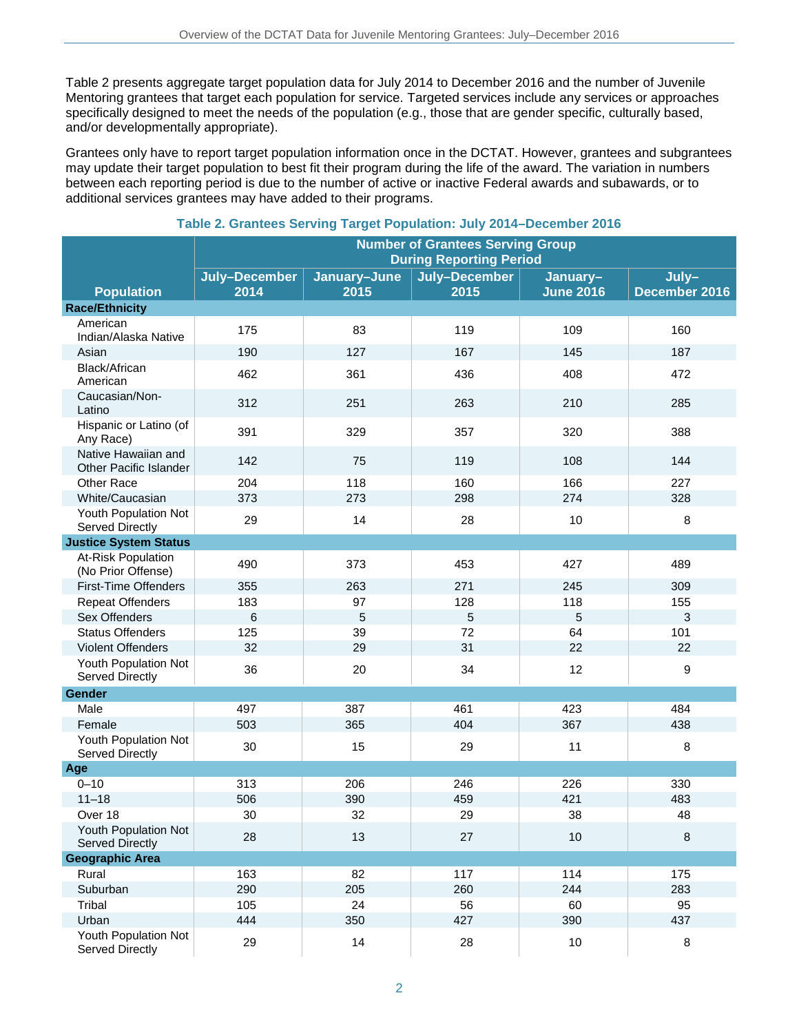Table 2 presents aggregate target population data for July 2014 to December 2016 and the number of Juvenile Mentoring grantees that target each population for service. Targeted services include any services or approaches specifically designed to meet the needs of the population (e.g., those that are gender specific, culturally based, and/or developmentally appropriate).

Grantees only have to report target population information once in the DCTAT. However, grantees and subgrantees may update their target population to best fit their program during the life of the award. The variation in numbers between each reporting period is due to the number of active or inactive Federal awards and subawards, or to additional services grantees may have added to their programs.

|                                                      | <b>Number of Grantees Serving Group</b><br><b>During Reporting Period</b> |                      |                       |                              |                        |
|------------------------------------------------------|---------------------------------------------------------------------------|----------------------|-----------------------|------------------------------|------------------------|
| <b>Population</b>                                    | July-December<br>2014                                                     | January-June<br>2015 | July-December<br>2015 | January-<br><b>June 2016</b> | July-<br>December 2016 |
| <b>Race/Ethnicity</b>                                |                                                                           |                      |                       |                              |                        |
| American<br>Indian/Alaska Native                     | 175                                                                       | 83                   | 119                   | 109                          | 160                    |
| Asian                                                | 190                                                                       | 127                  | 167                   | 145                          | 187                    |
| Black/African<br>American                            | 462                                                                       | 361                  | 436                   | 408                          | 472                    |
| Caucasian/Non-<br>Latino                             | 312                                                                       | 251                  | 263                   | 210                          | 285                    |
| Hispanic or Latino (of<br>Any Race)                  | 391                                                                       | 329                  | 357                   | 320                          | 388                    |
| Native Hawaiian and<br><b>Other Pacific Islander</b> | 142                                                                       | 75                   | 119                   | 108                          | 144                    |
| <b>Other Race</b>                                    | 204                                                                       | 118                  | 160                   | 166                          | 227                    |
| White/Caucasian                                      | 373                                                                       | 273                  | 298                   | 274                          | 328                    |
| Youth Population Not<br>Served Directly              | 29                                                                        | 14                   | 28                    | 10                           | 8                      |
| <b>Justice System Status</b>                         |                                                                           |                      |                       |                              |                        |
| At-Risk Population<br>(No Prior Offense)             | 490                                                                       | 373                  | 453                   | 427                          | 489                    |
| <b>First-Time Offenders</b>                          | 355                                                                       | 263                  | 271                   | 245                          | 309                    |
| <b>Repeat Offenders</b>                              | 183                                                                       | 97                   | 128                   | 118                          | 155                    |
| Sex Offenders                                        | 6                                                                         | 5                    | $\overline{5}$        | $\overline{5}$               | $\mathfrak{S}$         |
| <b>Status Offenders</b>                              | 125                                                                       | 39                   | 72                    | 64                           | 101                    |
| <b>Violent Offenders</b>                             | 32                                                                        | 29                   | 31                    | 22                           | 22                     |
| Youth Population Not<br>Served Directly              | 36                                                                        | 20                   | 34                    | 12                           | 9                      |
| Gender                                               |                                                                           |                      |                       |                              |                        |
| Male                                                 | 497                                                                       | 387                  | 461                   | 423                          | 484                    |
| Female                                               | 503                                                                       | 365                  | 404                   | 367                          | 438                    |
| Youth Population Not<br>Served Directly              | 30                                                                        | 15                   | 29                    | 11                           | 8                      |
| Age                                                  |                                                                           |                      |                       |                              |                        |
| $0 - 10$                                             | 313                                                                       | 206                  | 246                   | 226                          | 330                    |
| $11 - 18$                                            | 506                                                                       | 390                  | 459                   | 421                          | 483                    |
| Over 18                                              | 30                                                                        | 32                   | 29                    | 38                           | 48                     |
| Youth Population Not<br><b>Served Directly</b>       | 28                                                                        | 13                   | 27                    | 10                           | $\,8\,$                |
| <b>Geographic Area</b>                               |                                                                           |                      |                       |                              |                        |
| Rural                                                | 163                                                                       | 82                   | 117                   | 114                          | 175                    |
| Suburban                                             | 290                                                                       | 205                  | 260                   | 244                          | 283                    |
| Tribal                                               | 105                                                                       | 24                   | 56                    | 60                           | 95                     |
| Urban                                                | 444                                                                       | 350                  | 427                   | 390                          | 437                    |
| Youth Population Not<br>Served Directly              | 29                                                                        | 14                   | 28                    | 10                           | 8                      |

### **Table 2. Grantees Serving Target Population: July 2014–December 2016**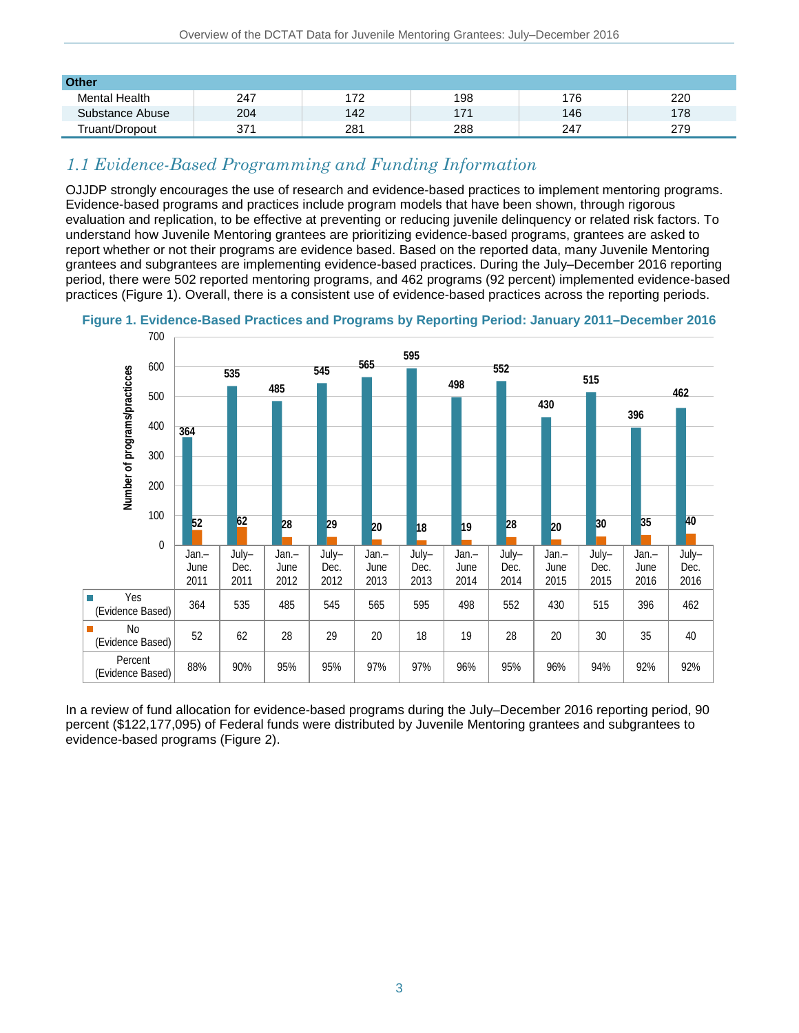| <b>Other</b>         |     |                  |     |     |     |
|----------------------|-----|------------------|-----|-----|-----|
| <b>Mental Health</b> | 247 | 70<br><u> 14</u> | 198 | 176 | 220 |
| Substance Abuse      | 204 | 142              | 171 | 146 | 178 |
| Truant/Dropout       | 371 | 281              | 288 | 247 | 279 |

## *1.1 Evidence-Based Programming and Funding Information*

OJJDP strongly encourages the use of research and evidence-based practices to implement mentoring programs. Evidence-based programs and practices include program models that have been shown, through rigorous evaluation and replication, to be effective at preventing or reducing juvenile delinquency or related risk factors. To understand how Juvenile Mentoring grantees are prioritizing evidence-based programs, grantees are asked to report whether or not their programs are evidence based. Based on the reported data, many Juvenile Mentoring grantees and subgrantees are implementing evidence-based practices. During the July–December 2016 reporting period, there were 502 reported mentoring programs, and 462 programs (92 percent) implemented evidence-based practices (Figure 1). Overall, there is a consistent use of evidence-based practices across the reporting periods.



**Figure 1. Evidence-Based Practices and Programs by Reporting Period: January 2011–December 2016**

In a review of fund allocation for evidence-based programs during the July–December 2016 reporting period, 90 percent (\$122,177,095) of Federal funds were distributed by Juvenile Mentoring grantees and subgrantees to evidence-based programs (Figure 2).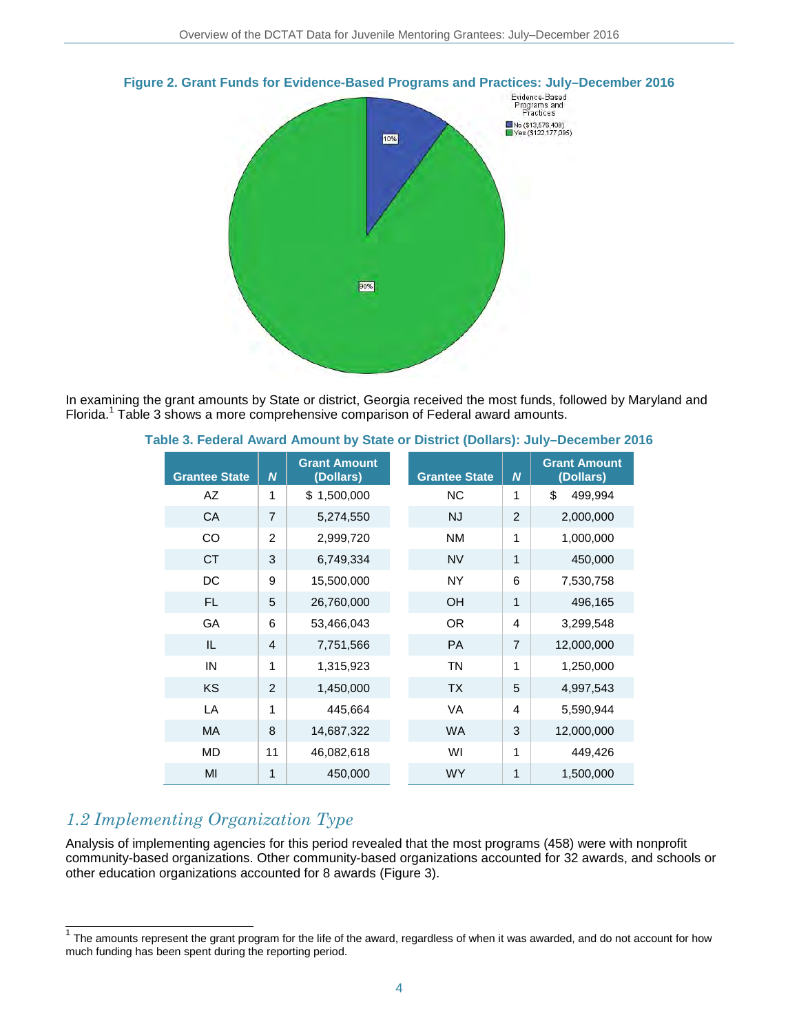

#### **Figure 2. Grant Funds for Evidence-Based Programs and Practices: July–December 2016**

In examining the grant amounts by State or district, Georgia received the most funds, followed by Maryland and Florida.<sup>1</sup> Table 3 shows a more comprehensive comparison of Federal award amounts.

| <b>Grantee State</b> | $\overline{N}$ | <b>Grant Amount</b><br>(Dollars) | <b>Grantee State</b> | $\overline{N}$ | <b>Grant Amount</b><br>(Dollars) |
|----------------------|----------------|----------------------------------|----------------------|----------------|----------------------------------|
| AZ                   | 1              | \$1,500,000                      | <b>NC</b>            | 1              | \$<br>499,994                    |
| <b>CA</b>            | $\overline{7}$ | 5,274,550                        | <b>NJ</b>            | $\overline{2}$ | 2,000,000                        |
| CO                   | $\overline{2}$ | 2,999,720                        | <b>NM</b>            | 1              | 1,000,000                        |
| <b>CT</b>            | 3              | 6,749,334                        | <b>NV</b>            | 1              | 450,000                          |
| DC                   | 9              | 15,500,000                       | <b>NY</b>            | 6              | 7,530,758                        |
| FL.                  | 5              | 26,760,000                       | <b>OH</b>            | 1              | 496,165                          |
| <b>GA</b>            | 6              | 53,466,043                       | <b>OR</b>            | 4              | 3,299,548                        |
| IL                   | $\overline{4}$ | 7,751,566                        | <b>PA</b>            | $\overline{7}$ | 12,000,000                       |
| IN                   | 1              | 1,315,923                        | <b>TN</b>            | 1              | 1,250,000                        |
| <b>KS</b>            | 2              | 1,450,000                        | <b>TX</b>            | 5              | 4,997,543                        |
| LA                   | 1              | 445,664                          | <b>VA</b>            | 4              | 5,590,944                        |
| <b>MA</b>            | 8              | 14,687,322                       | <b>WA</b>            | 3              | 12,000,000                       |
| <b>MD</b>            | 11             | 46,082,618                       | WI                   | 1              | 449,426                          |
| MI                   | 1              | 450,000                          | <b>WY</b>            | 1              | 1,500,000                        |

#### **Table 3. Federal Award Amount by State or District (Dollars): July–December 2016**

## *1.2 Implementing Organization Type*

Analysis of implementing agencies for this period revealed that the most programs (458) were with nonprofit community-based organizations. Other community-based organizations accounted for 32 awards, and schools or other education organizations accounted for 8 awards (Figure 3).

 $\frac{1}{1}$  The amounts represent the grant program for the life of the award, regardless of when it was awarded, and do not account for how much funding has been spent during the reporting period.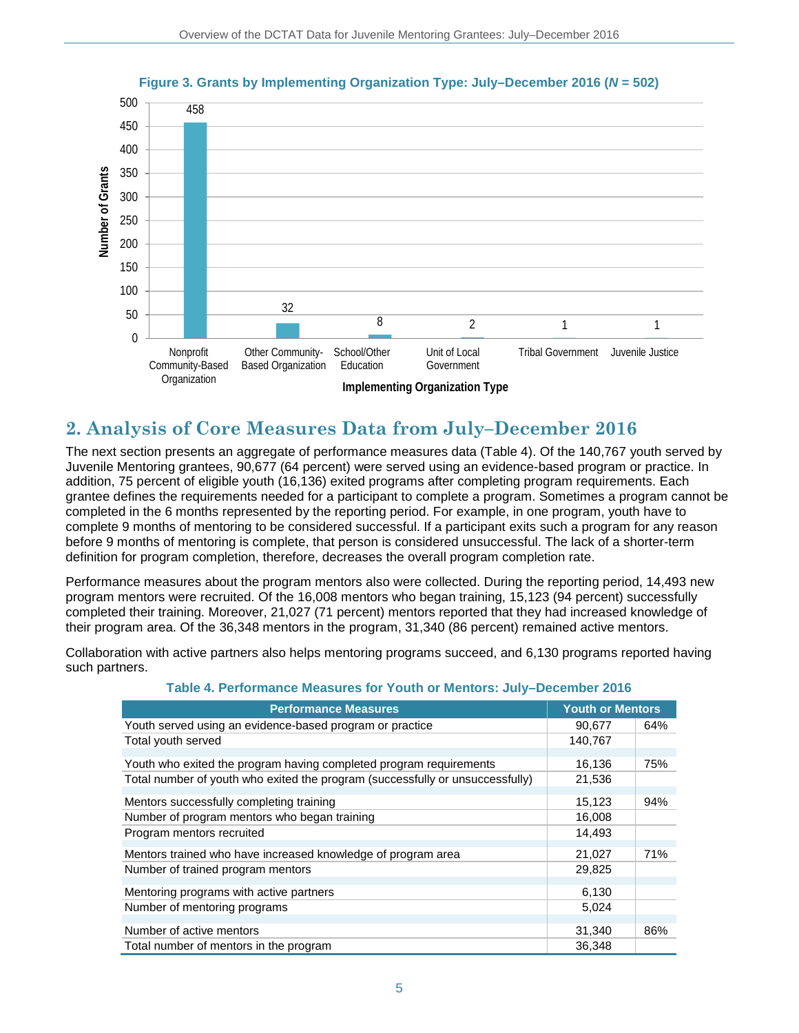

### **Figure 3. Grants by Implementing Organization Type: July–December 2016 (***N* **= 502)**

# **2. Analysis of Core Measures Data from July–December 2016**

The next section presents an aggregate of performance measures data (Table 4). Of the 140,767 youth served by Juvenile Mentoring grantees, 90,677 (64 percent) were served using an evidence-based program or practice. In addition, 75 percent of eligible youth (16,136) exited programs after completing program requirements. Each grantee defines the requirements needed for a participant to complete a program. Sometimes a program cannot be completed in the 6 months represented by the reporting period. For example, in one program, youth have to complete 9 months of mentoring to be considered successful. If a participant exits such a program for any reason before 9 months of mentoring is complete, that person is considered unsuccessful. The lack of a shorter-term definition for program completion, therefore, decreases the overall program completion rate.

Performance measures about the program mentors also were collected. During the reporting period, 14,493 new program mentors were recruited. Of the 16,008 mentors who began training, 15,123 (94 percent) successfully completed their training. Moreover, 21,027 (71 percent) mentors reported that they had increased knowledge of their program area. Of the 36,348 mentors in the program, 31,340 (86 percent) remained active mentors.

Collaboration with active partners also helps mentoring programs succeed, and 6,130 programs reported having such partners.

| <b>Performance Measures</b>                                                   | <b>Youth or Mentors</b> |     |
|-------------------------------------------------------------------------------|-------------------------|-----|
| Youth served using an evidence-based program or practice                      | 90,677                  | 64% |
| Total youth served                                                            | 140,767                 |     |
| Youth who exited the program having completed program requirements            | 16,136                  | 75% |
| Total number of youth who exited the program (successfully or unsuccessfully) | 21,536                  |     |
| Mentors successfully completing training                                      | 15,123                  | 94% |
| Number of program mentors who began training                                  | 16,008                  |     |
| Program mentors recruited                                                     | 14,493                  |     |
| Mentors trained who have increased knowledge of program area                  | 21,027                  | 71% |
| Number of trained program mentors                                             | 29,825                  |     |
| Mentoring programs with active partners                                       | 6,130                   |     |
| Number of mentoring programs                                                  | 5,024                   |     |
| Number of active mentors                                                      | 31,340                  | 86% |
| Total number of mentors in the program                                        | 36.348                  |     |

### **Table 4. Performance Measures for Youth or Mentors: July–December 2016**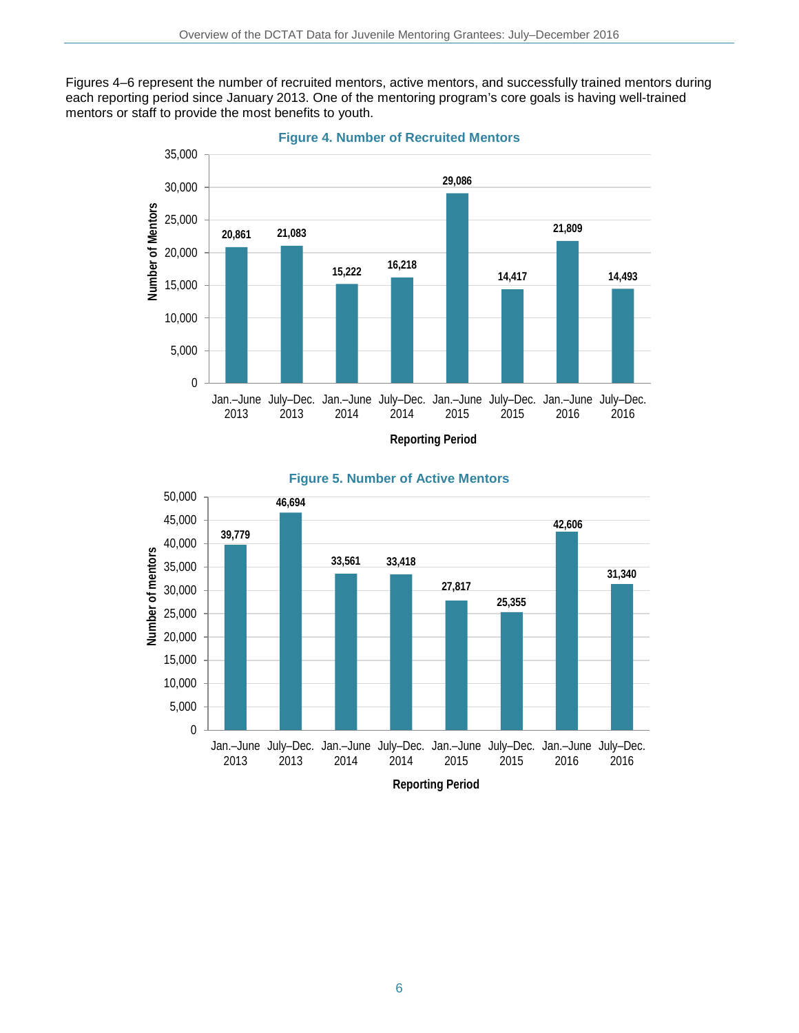Figures 4–6 represent the number of recruited mentors, active mentors, and successfully trained mentors during each reporting period since January 2013. One of the mentoring program's core goals is having well-trained mentors or staff to provide the most benefits to youth.







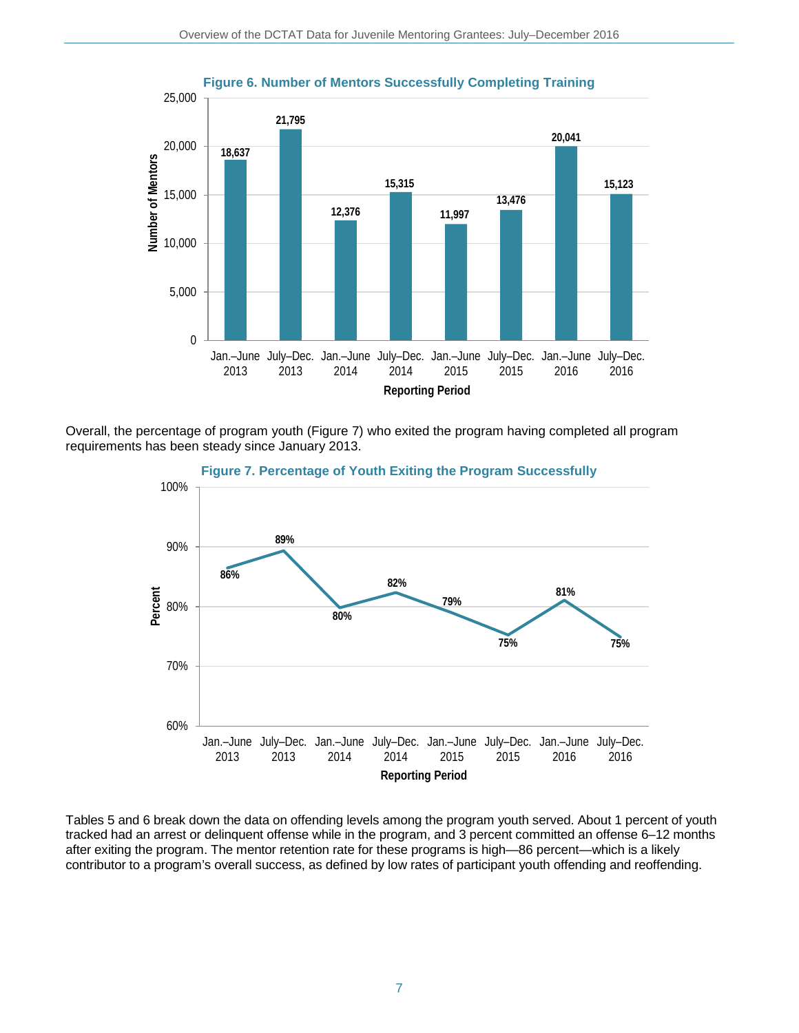

Overall, the percentage of program youth (Figure 7) who exited the program having completed all program requirements has been steady since January 2013.



Tables 5 and 6 break down the data on offending levels among the program youth served. About 1 percent of youth tracked had an arrest or delinquent offense while in the program, and 3 percent committed an offense 6–12 months after exiting the program. The mentor retention rate for these programs is high—86 percent—which is a likely contributor to a program's overall success, as defined by low rates of participant youth offending and reoffending.

### **Figure 6. Number of Mentors Successfully Completing Training**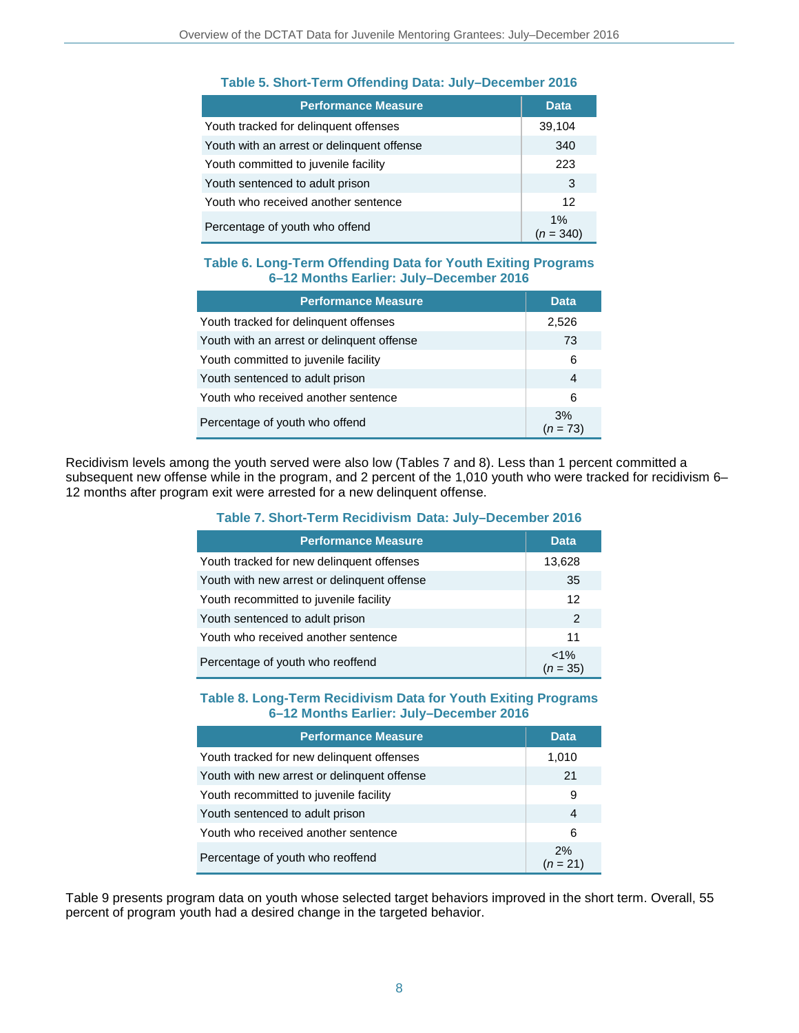| <b>Performance Measure</b>                 | <b>Data</b>       |
|--------------------------------------------|-------------------|
| Youth tracked for delinguent offenses      | 39,104            |
| Youth with an arrest or delinquent offense | 340               |
| Youth committed to juvenile facility       | 223               |
| Youth sentenced to adult prison            | 3                 |
| Youth who received another sentence        | 12                |
| Percentage of youth who offend             | 1%<br>$(n = 340)$ |

### **Table 5. Short-Term Offending Data: July–December 2016**

### **Table 6. Long-Term Offending Data for Youth Exiting Programs 6–12 Months Earlier: July–December 2016**

| <b>Performance Measure</b>                 | <b>Data</b>      |
|--------------------------------------------|------------------|
| Youth tracked for delinguent offenses      | 2,526            |
| Youth with an arrest or delinquent offense | 73               |
| Youth committed to juvenile facility       | 6                |
| Youth sentenced to adult prison            | 4                |
| Youth who received another sentence        | 6                |
| Percentage of youth who offend             | 3%<br>$(n = 73)$ |

Recidivism levels among the youth served were also low (Tables 7 and 8). Less than 1 percent committed a subsequent new offense while in the program, and 2 percent of the 1,010 youth who were tracked for recidivism 6– 12 months after program exit were arrested for a new delinquent offense.

### **Table 7. Short-Term Recidivism Data: July–December 2016**

| <b>Performance Measure</b>                  | <b>Data</b>         |
|---------------------------------------------|---------------------|
| Youth tracked for new delinguent offenses   | 13,628              |
| Youth with new arrest or delinquent offense | 35                  |
| Youth recommitted to juvenile facility      | 12                  |
| Youth sentenced to adult prison             | $\overline{2}$      |
| Youth who received another sentence         | 11                  |
| Percentage of youth who reoffend            | $1\%$<br>$(n = 35)$ |

### **Table 8. Long-Term Recidivism Data for Youth Exiting Programs 6–12 Months Earlier: July–December 2016**

| <b>Performance Measure</b>                  | <b>Data</b>      |
|---------------------------------------------|------------------|
| Youth tracked for new delinguent offenses   | 1,010            |
| Youth with new arrest or delinguent offense | 21               |
| Youth recommitted to juvenile facility      | 9                |
| Youth sentenced to adult prison             | 4                |
| Youth who received another sentence         | 6                |
| Percentage of youth who reoffend            | 2%<br>$(n = 21)$ |

Table 9 presents program data on youth whose selected target behaviors improved in the short term. Overall, 55 percent of program youth had a desired change in the targeted behavior.